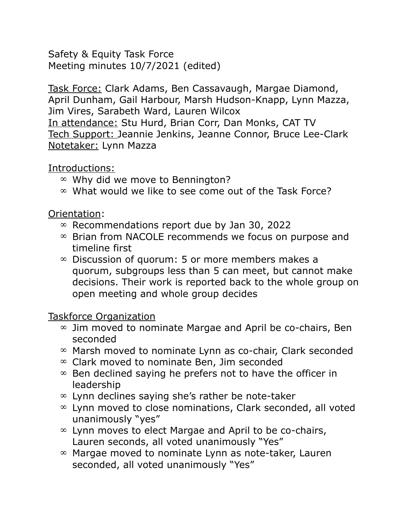Safety & Equity Task Force Meeting minutes 10/7/2021 (edited)

Task Force: Clark Adams, Ben Cassavaugh, Margae Diamond, April Dunham, Gail Harbour, Marsh Hudson-Knapp, Lynn Mazza, Jim Vires, Sarabeth Ward, Lauren Wilcox In attendance: Stu Hurd, Brian Corr, Dan Monks, CAT TV Tech Support: Jeannie Jenkins, Jeanne Connor, Bruce Lee-Clark Notetaker: Lynn Mazza

## Introductions:

- $\infty$  Why did we move to Bennington?
- $\infty$  What would we like to see come out of the Task Force?

## Orientation:

- $\infty$  Recommendations report due by Jan 30, 2022
- $\infty$  Brian from NACOLE recommends we focus on purpose and timeline first
- $\infty$  Discussion of quorum: 5 or more members makes a quorum, subgroups less than 5 can meet, but cannot make decisions. Their work is reported back to the whole group on open meeting and whole group decides

## Taskforce Organization

- $\infty$  Jim moved to nominate Margae and April be co-chairs, Ben seconded
- $\infty$  Marsh moved to nominate Lynn as co-chair, Clark seconded
- $\infty$  Clark moved to nominate Ben, Jim seconded
- $\infty$  Ben declined saying he prefers not to have the officer in leadership
- $\infty$  Lynn declines saying she's rather be note-taker
- $\infty$  Lynn moved to close nominations, Clark seconded, all voted unanimously "yes"
- $\infty$  Lynn moves to elect Margae and April to be co-chairs, Lauren seconds, all voted unanimously "Yes"
- $\infty$  Margae moved to nominate Lynn as note-taker, Lauren seconded, all voted unanimously "Yes"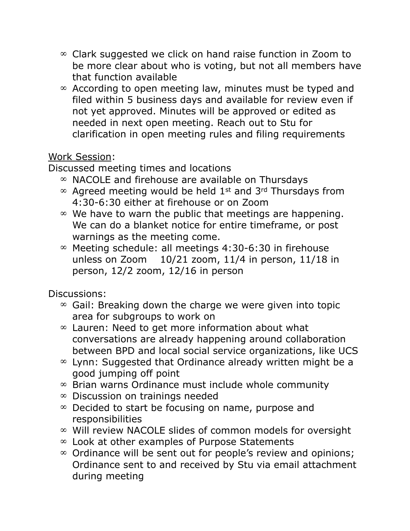- $\infty$  Clark suggested we click on hand raise function in Zoom to be more clear about who is voting, but not all members have that function available
- $\infty$  According to open meeting law, minutes must be typed and filed within 5 business days and available for review even if not yet approved. Minutes will be approved or edited as needed in next open meeting. Reach out to Stu for clarification in open meeting rules and filing requirements

## Work Session:

Discussed meeting times and locations

- $\infty$  NACOLE and firehouse are available on Thursdays
- $\infty$  Agreed meeting would be held 1<sup>st</sup> and 3<sup>rd</sup> Thursdays from 4:30-6:30 either at firehouse or on Zoom
- $\infty$  We have to warn the public that meetings are happening. We can do a blanket notice for entire timeframe, or post warnings as the meeting come.
- $\infty$  Meeting schedule: all meetings 4:30-6:30 in firehouse unless on Zoom 10/21 zoom, 11/4 in person, 11/18 in person, 12/2 zoom, 12/16 in person

Discussions:

- $\infty$  Gail: Breaking down the charge we were given into topic area for subgroups to work on
- $\infty$  Lauren: Need to get more information about what conversations are already happening around collaboration between BPD and local social service organizations, like UCS
- $\infty$  Lynn: Suggested that Ordinance already written might be a good jumping off point
- $\infty$  Brian warns Ordinance must include whole community
- $\infty$  Discussion on trainings needed
- $\infty$  Decided to start be focusing on name, purpose and responsibilities
- $\infty$  Will review NACOLE slides of common models for oversight
- $\infty$  Look at other examples of Purpose Statements
- $\infty$  Ordinance will be sent out for people's review and opinions; Ordinance sent to and received by Stu via email attachment during meeting